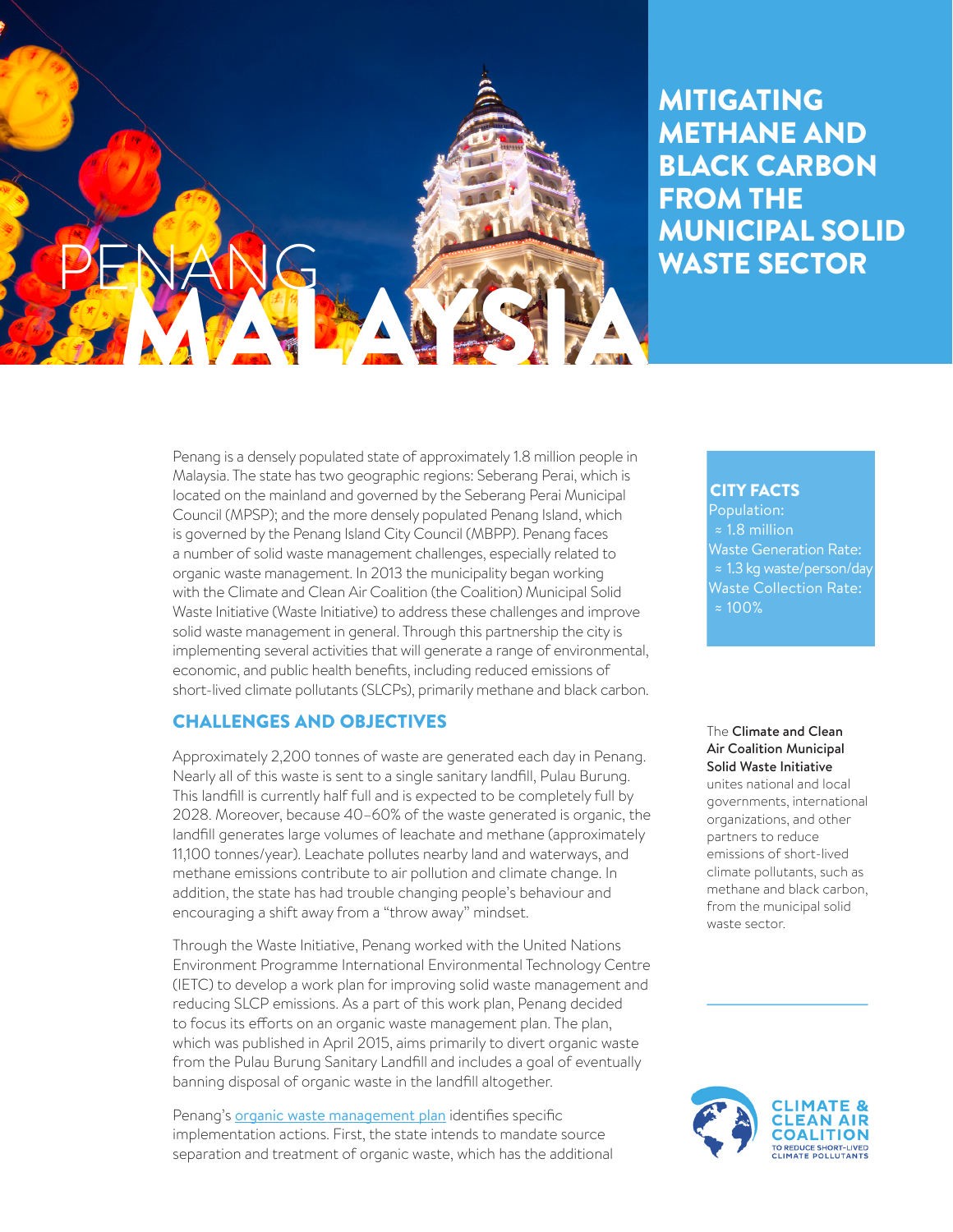

# MITIGATING METHANE AND BLACK CARBON FROM THE MUNICIPAL SOLID WASTE SECTOR

Penang is a densely populated state of approximately 1.8 million people in Malaysia. The state has two geographic regions: Seberang Perai, which is located on the mainland and governed by the Seberang Perai Municipal Council (MPSP); and the more densely populated Penang Island, which is governed by the Penang Island City Council (MBPP). Penang faces a number of solid waste management challenges, especially related to organic waste management. In 2013 the municipality began working with the Climate and Clean Air Coalition (the Coalition) Municipal Solid Waste Initiative (Waste Initiative) to address these challenges and improve solid waste management in general. Through this partnership the city is implementing several activities that will generate a range of environmental, economic, and public health benefits, including reduced emissions of short-lived climate pollutants (SLCPs), primarily methane and black carbon.

## CHALLENGES AND OBJECTIVES

Approximately 2,200 tonnes of waste are generated each day in Penang. Nearly all of this waste is sent to a single sanitary landfill, Pulau Burung. This landfill is currently half full and is expected to be completely full by 2028. Moreover, because 40–60% of the waste generated is organic, the landfill generates large volumes of leachate and methane (approximately 11,100 tonnes/year). Leachate pollutes nearby land and waterways, and methane emissions contribute to air pollution and climate change. In addition, the state has had trouble changing people's behaviour and encouraging a shift away from a "throw away" mindset.

Through the Waste Initiative, Penang worked with the United Nations Environment Programme International Environmental Technology Centre (IETC) to develop a work plan for improving solid waste management and reducing SLCP emissions. As a part of this work plan, Penang decided to focus its efforts on an organic waste management plan. The plan, which was published in April 2015, aims primarily to divert organic waste from the Pulau Burung Sanitary Landfill and includes a goal of eventually banning disposal of organic waste in the landfill altogether.

Penang's **[organic waste management plan](http://www.waste.ccacoalition.org/activity/penangs-organic-waste-management-plan)** identifies specific implementation actions. First, the state intends to mandate source separation and treatment of organic waste, which has the additional

#### CITY FACTS

Population: ≈ 1.8 million Waste Generation Rate: ≈ 1.3 kg waste/person/day Waste Collection Rate: ≈ 100%

#### The Climate and Clean Air Coalition Municipal Solid Waste Initiative

unites national and local governments, international organizations, and other partners to reduce emissions of short-lived climate pollutants, such as methane and black carbon, from the municipal solid waste sector.